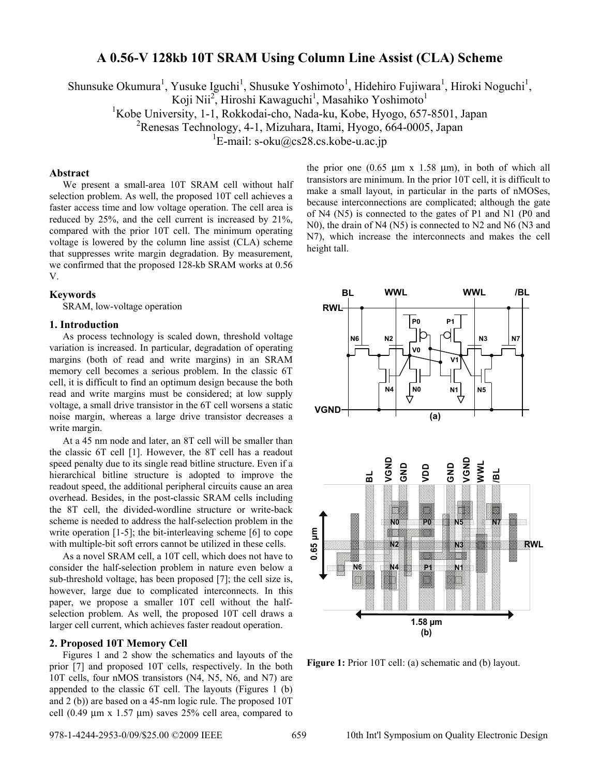# **A 0.56-V 128kb 10T SRAM Using Column Line Assist (CLA) Scheme**

Shunsuke Okumura<sup>1</sup>, Yusuke Iguchi<sup>1</sup>, Shusuke Yoshimoto<sup>1</sup>, Hidehiro Fujiwara<sup>1</sup>, Hiroki Noguchi<sup>1</sup>,

Koji Nii<sup>2</sup>, Hiroshi Kawaguchi<sup>1</sup>, Masahiko Yoshimoto<sup>1</sup>

<sup>1</sup>Kobe University, 1-1, Rokkodai-cho, Nada-ku, Kobe, Hyogo, 657-8501, Japan

2 Renesas Technology, 4-1, Mizuhara, Itami, Hyogo, 664-0005, Japan

 $E$ -mail: s-oku@cs28.cs.kobe-u.ac.jp

# **Abstract**

We present a small-area 10T SRAM cell without half selection problem. As well, the proposed 10T cell achieves a faster access time and low voltage operation. The cell area is reduced by 25%, and the cell current is increased by 21%, compared with the prior 10T cell. The minimum operating voltage is lowered by the column line assist (CLA) scheme that suppresses write margin degradation. By measurement, we confirmed that the proposed 128-kb SRAM works at 0.56 V.

### **Keywords**

SRAM, low-voltage operation

### **1. Introduction**

As process technology is scaled down, threshold voltage variation is increased. In particular, degradation of operating margins (both of read and write margins) in an SRAM memory cell becomes a serious problem. In the classic 6T cell, it is difficult to find an optimum design because the both read and write margins must be considered; at low supply voltage, a small drive transistor in the 6T cell worsens a static noise margin, whereas a large drive transistor decreases a write margin.

At a 45 nm node and later, an 8T cell will be smaller than the classic 6T cell [1]. However, the 8T cell has a readout speed penalty due to its single read bitline structure. Even if a hierarchical bitline structure is adopted to improve the readout speed, the additional peripheral circuits cause an area overhead. Besides, in the post-classic SRAM cells including the 8T cell, the divided-wordline structure or write-back scheme is needed to address the half-selection problem in the write operation [1-5]; the bit-interleaving scheme [6] to cope with multiple-bit soft errors cannot be utilized in these cells.

As a novel SRAM cell, a 10T cell, which does not have to consider the half-selection problem in nature even below a sub-threshold voltage, has been proposed [7]; the cell size is, however, large due to complicated interconnects. In this paper, we propose a smaller 10T cell without the halfselection problem. As well, the proposed 10T cell draws a larger cell current, which achieves faster readout operation.

### **2. Proposed 10T Memory Cell**

Figures 1 and 2 show the schematics and layouts of the prior [7] and proposed 10T cells, respectively. In the both 10T cells, four nMOS transistors (N4, N5, N6, and N7) are appended to the classic 6T cell. The layouts (Figures 1 (b) and 2 (b)) are based on a 45-nm logic rule. The proposed 10T cell (0.49  $\mu$ m x 1.57  $\mu$ m) saves 25% cell area, compared to the prior one  $(0.65 \mu m \times 1.58 \mu m)$ , in both of which all transistors are minimum. In the prior 10T cell, it is difficult to make a small layout, in particular in the parts of nMOSes, because interconnections are complicated; although the gate of N4 (N5) is connected to the gates of P1 and N1 (P0 and N0), the drain of N4 (N5) is connected to N2 and N6 (N3 and N7), which increase the interconnects and makes the cell height tall.



**Figure 1:** Prior 10T cell: (a) schematic and (b) layout.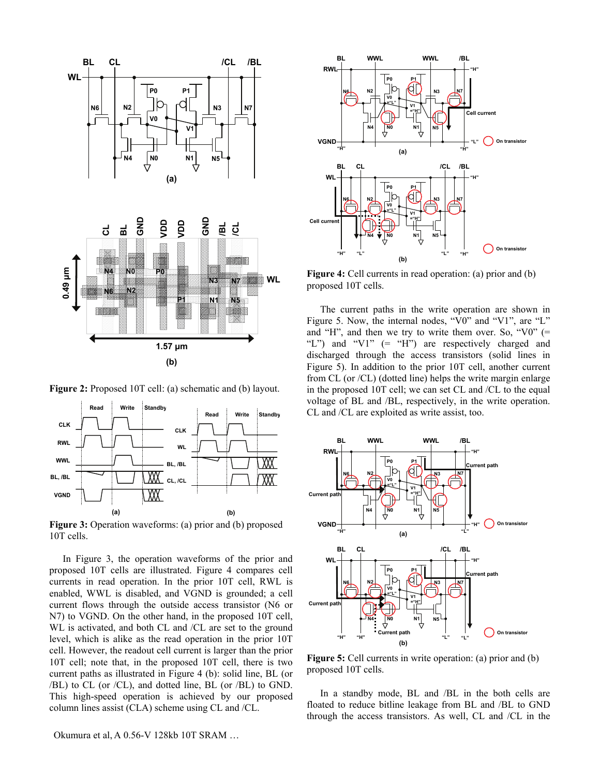

**Figure 2:** Proposed 10T cell: (a) schematic and (b) layout.



**Figure 3:** Operation waveforms: (a) prior and (b) proposed 10T cells.

In Figure 3, the operation waveforms of the prior and proposed 10T cells are illustrated. Figure 4 compares cell currents in read operation. In the prior 10T cell, RWL is enabled, WWL is disabled, and VGND is grounded; a cell current flows through the outside access transistor (N6 or N7) to VGND. On the other hand, in the proposed 10T cell, WL is activated, and both CL and /CL are set to the ground level, which is alike as the read operation in the prior 10T cell. However, the readout cell current is larger than the prior 10T cell; note that, in the proposed 10T cell, there is two current paths as illustrated in Figure 4 (b): solid line, BL (or /BL) to CL (or /CL), and dotted line, BL (or /BL) to GND. This high-speed operation is achieved by our proposed column lines assist (CLA) scheme using CL and /CL.



**Figure 4:** Cell currents in read operation: (a) prior and (b) proposed 10T cells.

The current paths in the write operation are shown in Figure 5. Now, the internal nodes, "V0" and "V1", are "L" and "H", and then we try to write them over. So, "V0"  $(=$ "L") and "V1"  $(=$  "H") are respectively charged and discharged through the access transistors (solid lines in Figure 5). In addition to the prior 10T cell, another current from CL (or /CL) (dotted line) helps the write margin enlarge in the proposed 10T cell; we can set CL and /CL to the equal voltage of BL and /BL, respectively, in the write operation. CL and /CL are exploited as write assist, too.



**Figure 5:** Cell currents in write operation: (a) prior and (b) proposed 10T cells.

In a standby mode, BL and /BL in the both cells are floated to reduce bitline leakage from BL and /BL to GND through the access transistors. As well, CL and /CL in the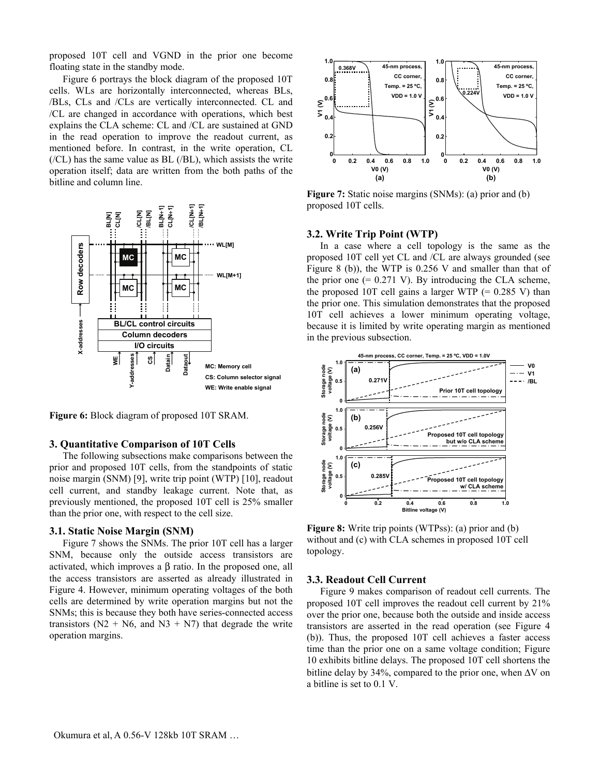proposed 10T cell and VGND in the prior one become floating state in the standby mode.

Figure 6 portrays the block diagram of the proposed 10T cells. WLs are horizontally interconnected, whereas BLs, /BLs, CLs and /CLs are vertically interconnected. CL and /CL are changed in accordance with operations, which best explains the CLA scheme: CL and /CL are sustained at GND in the read operation to improve the readout current, as mentioned before. In contrast, in the write operation, CL  $(/CL)$  has the same value as BL  $(/BL)$ , which assists the write operation itself; data are written from the both paths of the bitline and column line.



**Figure 6:** Block diagram of proposed 10T SRAM.

### **3. Quantitative Comparison of 10T Cells**

The following subsections make comparisons between the prior and proposed 10T cells, from the standpoints of static noise margin (SNM) [9], write trip point (WTP) [10], readout cell current, and standby leakage current. Note that, as previously mentioned, the proposed 10T cell is 25% smaller than the prior one, with respect to the cell size.

### **3.1. Static Noise Margin (SNM)**

Figure 7 shows the SNMs. The prior 10T cell has a larger SNM, because only the outside access transistors are activated, which improves a β ratio. In the proposed one, all the access transistors are asserted as already illustrated in Figure 4. However, minimum operating voltages of the both cells are determined by write operation margins but not the SNMs; this is because they both have series-connected access transistors ( $N2 + N6$ , and  $N3 + N7$ ) that degrade the write operation margins.



**Figure 7:** Static noise margins (SNMs): (a) prior and (b) proposed 10T cells.

# **3.2. Write Trip Point (WTP)**

In a case where a cell topology is the same as the proposed 10T cell yet CL and /CL are always grounded (see Figure 8 (b)), the WTP is 0.256 V and smaller than that of the prior one  $(= 0.271 \text{ V})$ . By introducing the CLA scheme, the proposed 10T cell gains a larger WTP  $(= 0.285 V)$  than the prior one. This simulation demonstrates that the proposed 10T cell achieves a lower minimum operating voltage, because it is limited by write operating margin as mentioned in the previous subsection.



**Figure 8:** Write trip points (WTPss): (a) prior and (b) without and (c) with CLA schemes in proposed 10T cell topology.

### **3.3. Readout Cell Current**

Figure 9 makes comparison of readout cell currents. The proposed 10T cell improves the readout cell current by 21% over the prior one, because both the outside and inside access transistors are asserted in the read operation (see Figure 4 (b)). Thus, the proposed 10T cell achieves a faster access time than the prior one on a same voltage condition; Figure 10 exhibits bitline delays. The proposed 10T cell shortens the bitline delay by 34%, compared to the prior one, when  $\Delta V$  on a bitline is set to 0.1 V.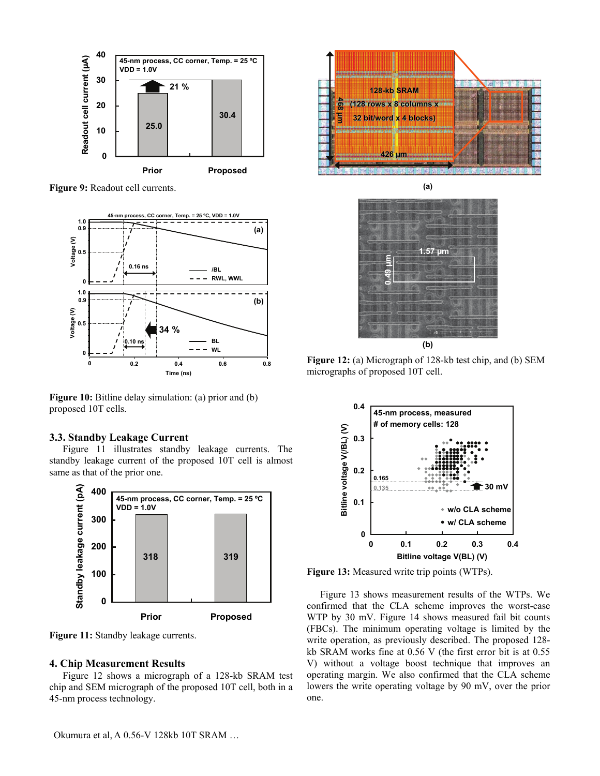

**Figure 9:** Readout cell currents.



**Figure 10:** Bitline delay simulation: (a) prior and (b) proposed 10T cells.

# **3.3. Standby Leakage Current**

Figure 11 illustrates standby leakage currents. The standby leakage current of the proposed 10T cell is almost same as that of the prior one.



Figure 11: Standby leakage currents.

# **4. Chip Measurement Results**

Figure 12 shows a micrograph of a 128-kb SRAM test chip and SEM micrograph of the proposed 10T cell, both in a 45-nm process technology.



**(a)**

**0.49 µm 1.57 µm (b)**

**Figure 12:** (a) Micrograph of 128-kb test chip, and (b) SEM micrographs of proposed 10T cell.



**Figure 13:** Measured write trip points (WTPs).

Figure 13 shows measurement results of the WTPs. We confirmed that the CLA scheme improves the worst-case WTP by 30 mV. Figure 14 shows measured fail bit counts (FBCs). The minimum operating voltage is limited by the write operation, as previously described. The proposed 128 kb SRAM works fine at 0.56 V (the first error bit is at 0.55 V) without a voltage boost technique that improves an operating margin. We also confirmed that the CLA scheme lowers the write operating voltage by 90 mV, over the prior one.